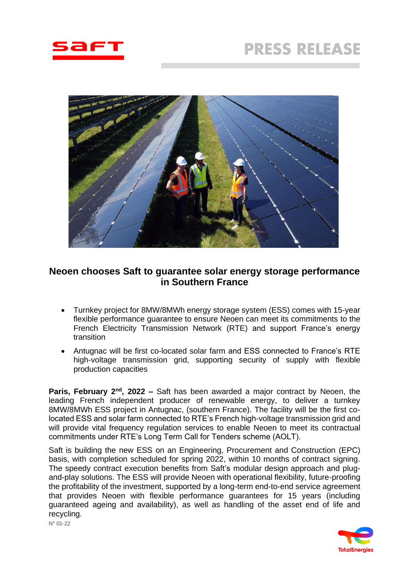



# **Neoen chooses Saft to guarantee solar energy storage performance in Southern France**

- Turnkey project for 8MW/8MWh energy storage system (ESS) comes with 15-year flexible performance guarantee to ensure Neoen can meet its commitments to the French Electricity Transmission Network (RTE) and support France's energy transition
- Antugnac will be first co-located solar farm and ESS connected to France's RTE high-voltage transmission grid, supporting security of supply with flexible production capacities

**Paris, February 2nd , 2022 –** Saft has been awarded a major contract by Neoen, the leading French independent producer of renewable energy, to deliver a turnkey 8MW/8MWh ESS project in Antugnac, (southern France). The facility will be the first colocated ESS and solar farm connected to RTE's French high-voltage transmission grid and will provide vital frequency regulation services to enable Neoen to meet its contractual commitments under RTE's Long Term Call for Tenders scheme (AOLT).

Saft is building the new ESS on an Engineering, Procurement and Construction (EPC) basis, with completion scheduled for spring 2022, within 10 months of contract signing. The speedy contract execution benefits from Saft's modular design approach and plugand-play solutions. The ESS will provide Neoen with operational flexibility, future-proofing the profitability of the investment, supported by a long-term end-to-end service agreement that provides Neoen with flexible performance guarantees for 15 years (including guaranteed ageing and availability), as well as handling of the asset end of life and recycling.

N° 01-22

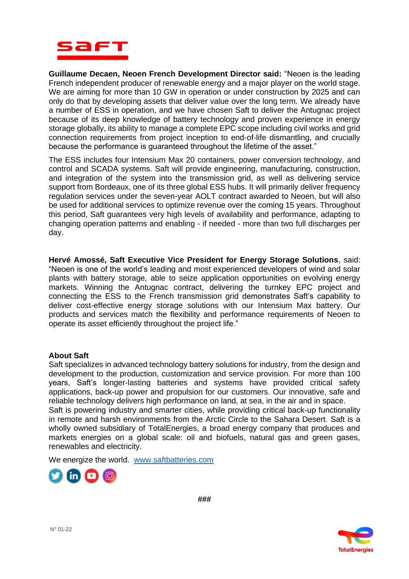

**Guillaume Decaen, Neoen French Development Director said:** "Neoen is the leading French independent producer of renewable energy and a major player on the world stage. We are aiming for more than 10 GW in operation or under construction by 2025 and can only do that by developing assets that deliver value over the long term. We already have a number of ESS in operation, and we have chosen Saft to deliver the Antugnac project because of its deep knowledge of battery technology and proven experience in energy storage globally, its ability to manage a complete EPC scope including civil works and grid connection requirements from project inception to end-of-life dismantling, and crucially because the performance is guaranteed throughout the lifetime of the asset."

The ESS includes four Intensium Max 20 containers, power conversion technology, and control and SCADA systems. Saft will provide engineering, manufacturing, construction, and integration of the system into the transmission grid, as well as delivering service support from Bordeaux, one of its three global ESS hubs. It will primarily deliver frequency regulation services under the seven-year AOLT contract awarded to Neoen, but will also be used for additional services to optimize revenue over the coming 15 years. Throughout this period, Saft guarantees very high levels of availability and performance, adapting to changing operation patterns and enabling - if needed - more than two full discharges per day.

**Hervé Amossé, Saft Executive Vice President for Energy Storage Solutions**, said: "Neoen is one of the world's leading and most experienced developers of wind and solar plants with battery storage, able to seize application opportunities on evolving energy markets. Winning the Antugnac contract, delivering the turnkey EPC project and connecting the ESS to the French transmission grid demonstrates Saft's capability to deliver cost-effective energy storage solutions with our Intensium Max battery. Our products and services match the flexibility and performance requirements of Neoen to operate its asset efficiently throughout the project life."

## **About Saft**

Saft specializes in advanced technology battery solutions for industry, from the design and development to the production, customization and service provision. For more than 100 years, Saft's longer-lasting batteries and systems have provided critical safety applications, back-up power and propulsion for our customers. Our innovative, safe and reliable technology delivers high performance on land, at sea, in the air and in space. Saft is powering industry and smarter cities, while providing critical back-up functionality in remote and harsh environments from the Arctic Circle to the Sahara Desert. Saft is a wholly owned subsidiary of TotalEnergies, a broad energy company that produces and markets energies on a global scale: oil and biofuels, natural gas and green gases, renewables and electricity.

We energize the world. [www.saftbatteries.com](http://www.saftbatteries.com/)